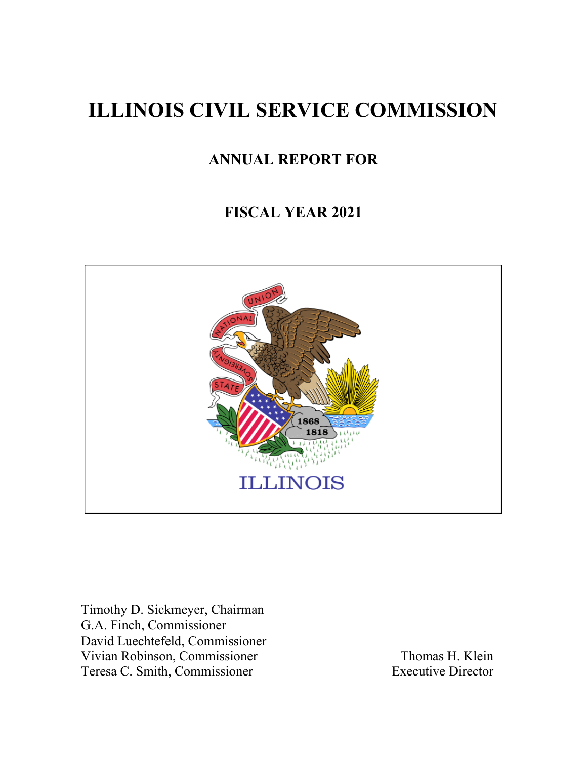# **ILLINOIS CIVIL SERVICE COMMISSION**

# **ANNUAL REPORT FOR**

# **FISCAL YEAR 2021**



Timothy D. Sickmeyer, Chairman G.A. Finch, Commissioner David Luechtefeld, Commissioner Vivian Robinson, Commissioner Thomas H. Klein<br>
Teresa C. Smith, Commissioner Executive Director Teresa C. Smith, Commissioner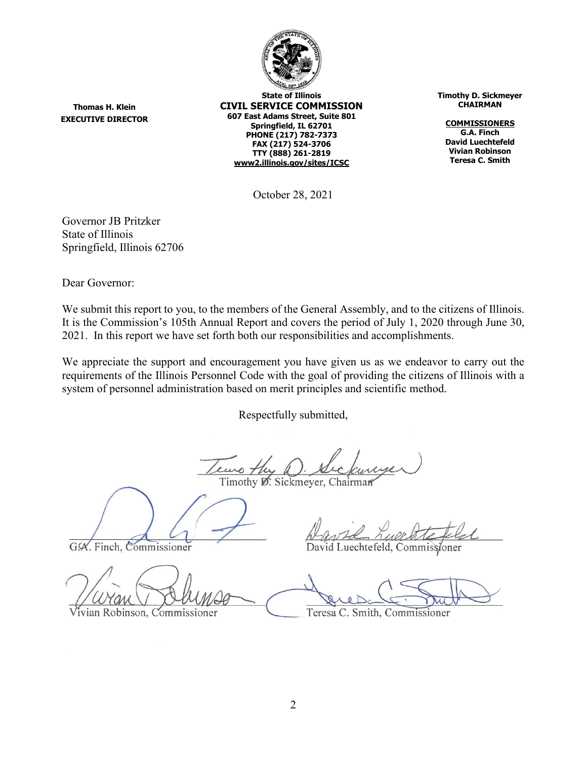

**State of Illinois CIVIL SERVICE COMMISSION 607 East Adams Street, Suite 801 Springfield, IL 62701 PHONE (217) 782-7373 FAX (217) 524-3706 TTY (888) 261-2819 [www2.illinois.gov/sites/ICSC](https://www2.illinois.gov/sites/ICSC)**

**Timothy D. Sickmeyer CHAIRMAN**

**COMMISSIONERS G.A. Finch David Luechtefeld Vivian Robinson Teresa C. Smith**

October 28, 2021

Governor JB Pritzker State of Illinois Springfield, Illinois 62706

Dear Governor:

**Thomas H. Klein EXECUTIVE DIRECTOR**

We submit this report to you, to the members of the General Assembly, and to the citizens of Illinois. It is the Commission's 105th Annual Report and covers the period of July 1, 2020 through June 30, 2021. In this report we have set forth both our responsibilities and accomplishments.

We appreciate the support and encouragement you have given us as we endeavor to carry out the requirements of the Illinois Personnel Code with the goal of providing the citizens of Illinois with a system of personnel administration based on merit principles and scientific method.

Respectfully submitted,

Timothy D. Sickmeyer, Chairman

G.A. Finch, Commissioner

ivian Robinson, Commissioner

David Luechtefeld, Commissioner

Teresa C. Smith, Commissioner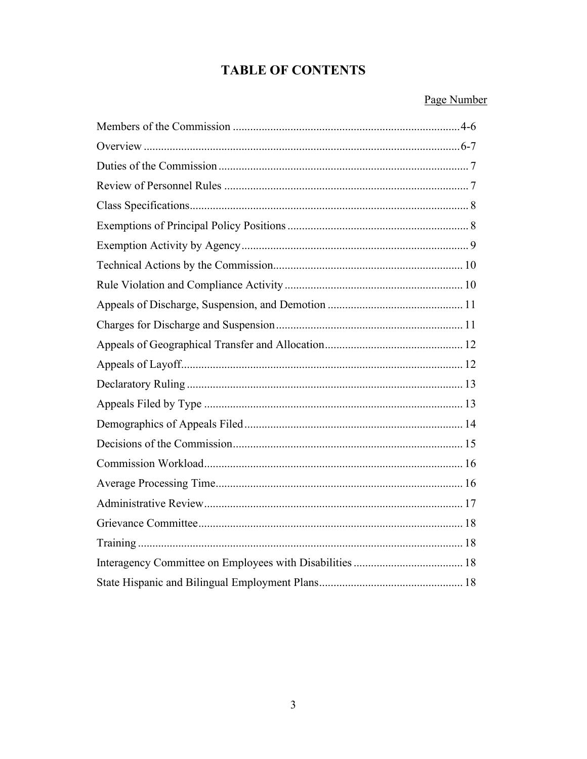# **TABLE OF CONTENTS**

#### Page Number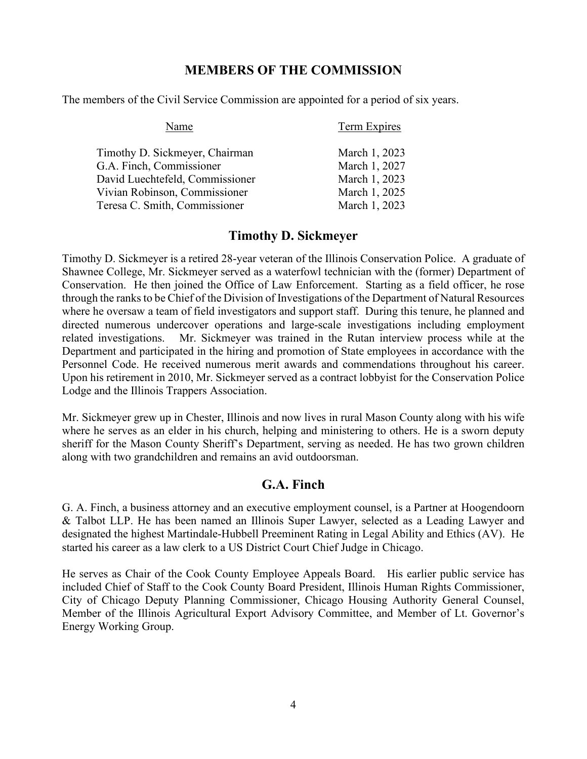#### **MEMBERS OF THE COMMISSION**

The members of the Civil Service Commission are appointed for a period of six years.

| Name                            | <b>Term Expires</b> |
|---------------------------------|---------------------|
| Timothy D. Sickmeyer, Chairman  | March 1, 2023       |
| G.A. Finch, Commissioner        | March 1, 2027       |
| David Luechtefeld, Commissioner | March 1, 2023       |
| Vivian Robinson, Commissioner   | March 1, 2025       |
| Teresa C. Smith, Commissioner   | March 1, 2023       |

#### **Timothy D. Sickmeyer**

Timothy D. Sickmeyer is a retired 28-year veteran of the Illinois Conservation Police. A graduate of Shawnee College, Mr. Sickmeyer served as a waterfowl technician with the (former) Department of Conservation. He then joined the Office of Law Enforcement. Starting as a field officer, he rose through the ranks to be Chief of the Division of Investigations of the Department of Natural Resources where he oversaw a team of field investigators and support staff. During this tenure, he planned and directed numerous undercover operations and large-scale investigations including employment related investigations. Mr. Sickmeyer was trained in the Rutan interview process while at the Department and participated in the hiring and promotion of State employees in accordance with the Personnel Code. He received numerous merit awards and commendations throughout his career. Upon his retirement in 2010, Mr. Sickmeyer served as a contract lobbyist for the Conservation Police Lodge and the Illinois Trappers Association.

Mr. Sickmeyer grew up in Chester, Illinois and now lives in rural Mason County along with his wife where he serves as an elder in his church, helping and ministering to others. He is a sworn deputy sheriff for the Mason County Sheriff's Department, serving as needed. He has two grown children along with two grandchildren and remains an avid outdoorsman.

#### **G.A. Finch**

G. A. Finch, a business attorney and an executive employment counsel, is a Partner at Hoogendoorn & Talbot LLP. He has been named an Illinois Super Lawyer, selected as a Leading Lawyer and designated the highest Martindale-Hubbell Preeminent Rating in Legal Ability and Ethics (AV). He started his career as a law clerk to a US District Court Chief Judge in Chicago.

He serves as Chair of the Cook County Employee Appeals Board. His earlier public service has included Chief of Staff to the Cook County Board President, Illinois Human Rights Commissioner, City of Chicago Deputy Planning Commissioner, Chicago Housing Authority General Counsel, Member of the Illinois Agricultural Export Advisory Committee, and Member of Lt. Governor's Energy Working Group.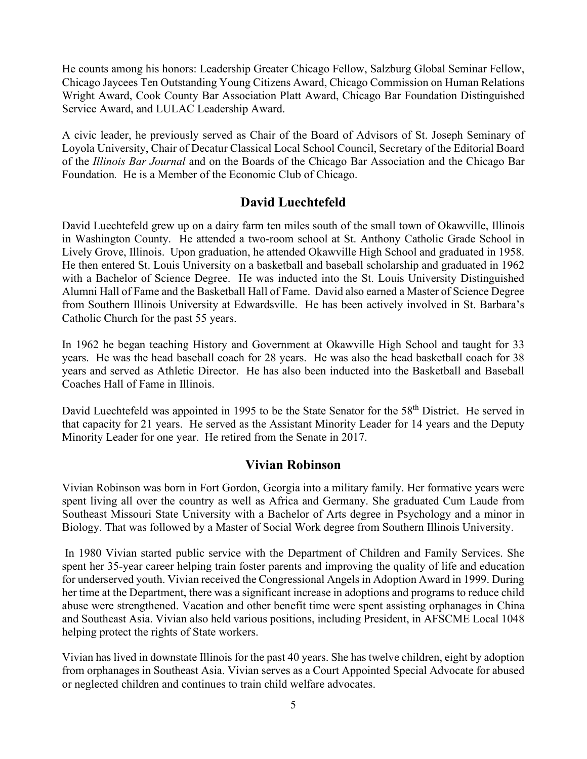He counts among his honors: Leadership Greater Chicago Fellow, Salzburg Global Seminar Fellow, Chicago Jaycees Ten Outstanding Young Citizens Award, Chicago Commission on Human Relations Wright Award, Cook County Bar Association Platt Award, Chicago Bar Foundation Distinguished Service Award, and LULAC Leadership Award.

A civic leader, he previously served as Chair of the Board of Advisors of St. Joseph Seminary of Loyola University, Chair of Decatur Classical Local School Council, Secretary of the Editorial Board of the *Illinois Bar Journal* and on the Boards of the Chicago Bar Association and the Chicago Bar Foundation*.* He is a Member of the Economic Club of Chicago.

#### **David Luechtefeld**

David Luechtefeld grew up on a dairy farm ten miles south of the small town of Okawville, Illinois in Washington County. He attended a two-room school at St. Anthony Catholic Grade School in Lively Grove, Illinois. Upon graduation, he attended Okawville High School and graduated in 1958. He then entered St. Louis University on a basketball and baseball scholarship and graduated in 1962 with a Bachelor of Science Degree. He was inducted into the St. Louis University Distinguished Alumni Hall of Fame and the Basketball Hall of Fame. David also earned a Master of Science Degree from Southern Illinois University at Edwardsville. He has been actively involved in St. Barbara's Catholic Church for the past 55 years.

In 1962 he began teaching History and Government at Okawville High School and taught for 33 years. He was the head baseball coach for 28 years. He was also the head basketball coach for 38 years and served as Athletic Director. He has also been inducted into the Basketball and Baseball Coaches Hall of Fame in Illinois.

David Luechtefeld was appointed in 1995 to be the State Senator for the 58<sup>th</sup> District. He served in that capacity for 21 years. He served as the Assistant Minority Leader for 14 years and the Deputy Minority Leader for one year. He retired from the Senate in 2017.

#### **Vivian Robinson**

Vivian Robinson was born in Fort Gordon, Georgia into a military family. Her formative years were spent living all over the country as well as Africa and Germany. She graduated Cum Laude from Southeast Missouri State University with a Bachelor of Arts degree in Psychology and a minor in Biology. That was followed by a Master of Social Work degree from Southern Illinois University.

In 1980 Vivian started public service with the Department of Children and Family Services. She spent her 35-year career helping train foster parents and improving the quality of life and education for underserved youth. Vivian received the Congressional Angels in Adoption Award in 1999. During her time at the Department, there was a significant increase in adoptions and programs to reduce child abuse were strengthened. Vacation and other benefit time were spent assisting orphanages in China and Southeast Asia. Vivian also held various positions, including President, in AFSCME Local 1048 helping protect the rights of State workers.

Vivian has lived in downstate Illinois for the past 40 years. She has twelve children, eight by adoption from orphanages in Southeast Asia. Vivian serves as a Court Appointed Special Advocate for abused or neglected children and continues to train child welfare advocates.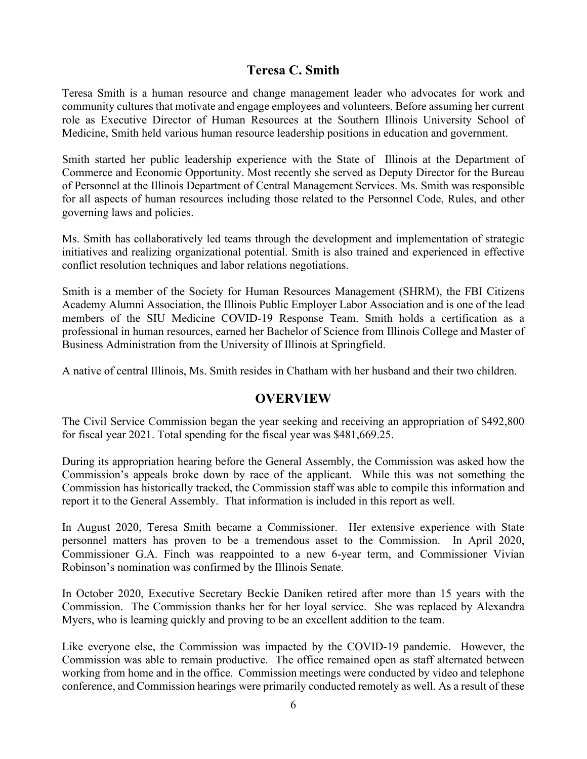# **Teresa C. Smith**

Teresa Smith is a human resource and change management leader who advocates for work and community cultures that motivate and engage employees and volunteers. Before assuming her current role as Executive Director of Human Resources at the Southern Illinois University School of Medicine, Smith held various human resource leadership positions in education and government.

Smith started her public leadership experience with the State of Illinois at the Department of Commerce and Economic Opportunity. Most recently she served as Deputy Director for the Bureau of Personnel at the Illinois Department of Central Management Services. Ms. Smith was responsible for all aspects of human resources including those related to the Personnel Code, Rules, and other governing laws and policies.

Ms. Smith has collaboratively led teams through the development and implementation of strategic initiatives and realizing organizational potential. Smith is also trained and experienced in effective conflict resolution techniques and labor relations negotiations.

Smith is a member of the Society for Human Resources Management (SHRM), the FBI Citizens Academy Alumni Association, the Illinois Public Employer Labor Association and is one of the lead members of the SIU Medicine COVID-19 Response Team. Smith holds a certification as a professional in human resources, earned her Bachelor of Science from Illinois College and Master of Business Administration from the University of Illinois at Springfield.

A native of central Illinois, Ms. Smith resides in Chatham with her husband and their two children.

#### **OVERVIEW**

The Civil Service Commission began the year seeking and receiving an appropriation of \$492,800 for fiscal year 2021. Total spending for the fiscal year was \$481,669.25.

During its appropriation hearing before the General Assembly, the Commission was asked how the Commission's appeals broke down by race of the applicant. While this was not something the Commission has historically tracked, the Commission staff was able to compile this information and report it to the General Assembly. That information is included in this report as well.

In August 2020, Teresa Smith became a Commissioner. Her extensive experience with State personnel matters has proven to be a tremendous asset to the Commission. In April 2020, Commissioner G.A. Finch was reappointed to a new 6-year term, and Commissioner Vivian Robinson's nomination was confirmed by the Illinois Senate.

In October 2020, Executive Secretary Beckie Daniken retired after more than 15 years with the Commission. The Commission thanks her for her loyal service. She was replaced by Alexandra Myers, who is learning quickly and proving to be an excellent addition to the team.

Like everyone else, the Commission was impacted by the COVID-19 pandemic. However, the Commission was able to remain productive. The office remained open as staff alternated between working from home and in the office. Commission meetings were conducted by video and telephone conference, and Commission hearings were primarily conducted remotely as well. As a result of these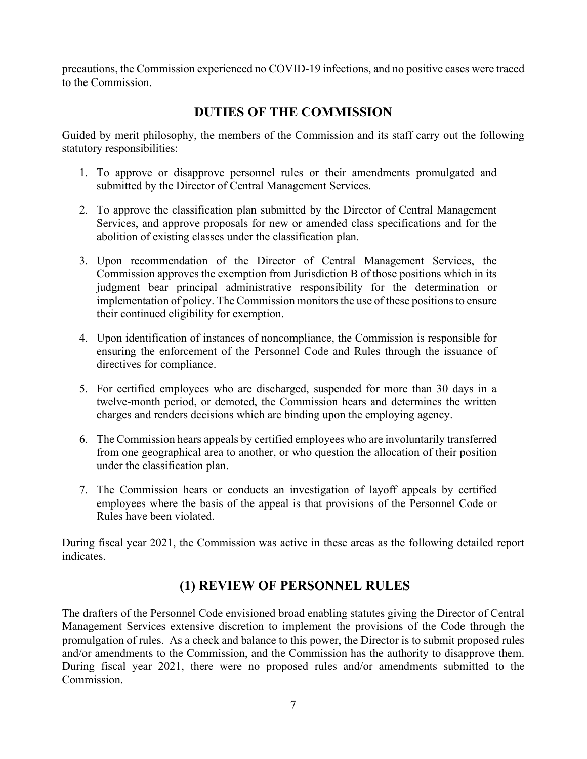precautions, the Commission experienced no COVID-19 infections, and no positive cases were traced to the Commission.

# **DUTIES OF THE COMMISSION**

Guided by merit philosophy, the members of the Commission and its staff carry out the following statutory responsibilities:

- 1. To approve or disapprove personnel rules or their amendments promulgated and submitted by the Director of Central Management Services.
- 2. To approve the classification plan submitted by the Director of Central Management Services, and approve proposals for new or amended class specifications and for the abolition of existing classes under the classification plan.
- 3. Upon recommendation of the Director of Central Management Services, the Commission approves the exemption from Jurisdiction B of those positions which in its judgment bear principal administrative responsibility for the determination or implementation of policy. The Commission monitors the use of these positions to ensure their continued eligibility for exemption.
- 4. Upon identification of instances of noncompliance, the Commission is responsible for ensuring the enforcement of the Personnel Code and Rules through the issuance of directives for compliance.
- 5. For certified employees who are discharged, suspended for more than 30 days in a twelve-month period, or demoted, the Commission hears and determines the written charges and renders decisions which are binding upon the employing agency.
- 6. The Commission hears appeals by certified employees who are involuntarily transferred from one geographical area to another, or who question the allocation of their position under the classification plan.
- 7. The Commission hears or conducts an investigation of layoff appeals by certified employees where the basis of the appeal is that provisions of the Personnel Code or Rules have been violated.

During fiscal year 2021, the Commission was active in these areas as the following detailed report indicates.

# **(1) REVIEW OF PERSONNEL RULES**

The drafters of the Personnel Code envisioned broad enabling statutes giving the Director of Central Management Services extensive discretion to implement the provisions of the Code through the promulgation of rules. As a check and balance to this power, the Director is to submit proposed rules and/or amendments to the Commission, and the Commission has the authority to disapprove them. During fiscal year 2021, there were no proposed rules and/or amendments submitted to the Commission.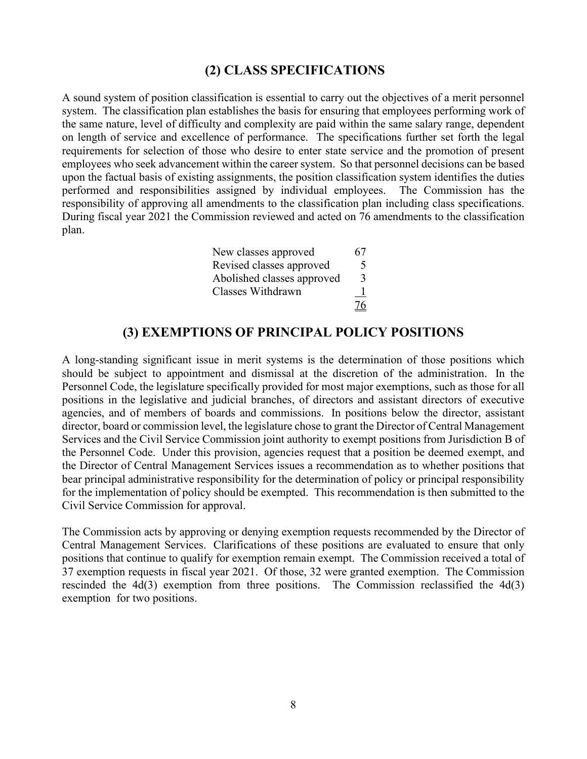#### **(2) CLASS SPECIFICATIONS**

A sound system of position classification is essential to carry out the objectives of a merit personnel system. The classification plan establishes the basis for ensuring that employees performing work of the same nature, level of difficulty and complexity are paid within the same salary range, dependent on length of service and excellence of performance. The specifications further set forth the legal requirements for selection of those who desire to enter state service and the promotion of present employees who seek advancement within the career system. So that personnel decisions can be based upon the factual basis of existing assignments, the position classification system identifies the duties performed and responsibilities assigned by individual employees. The Commission has the responsibility of approving all amendments to the classification plan including class specifications. During fiscal year 2021 the Commission reviewed and acted on 76 amendments to the classification plan.

| New classes approved       | 67 |
|----------------------------|----|
| Revised classes approved   | 5  |
| Abolished classes approved | 3  |
| Classes Withdrawn          |    |
|                            | 76 |

#### **(3) EXEMPTIONS OF PRINCIPAL POLICY POSITIONS**

A long-standing significant issue in merit systems is the determination of those positions which should be subject to appointment and dismissal at the discretion of the administration. In the Personnel Code, the legislature specifically provided for most major exemptions, such as those for all positions in the legislative and judicial branches, of directors and assistant directors of executive agencies, and of members of boards and commissions. In positions below the director, assistant director, board or commission level, the legislature chose to grant the Director of Central Management Services and the Civil Service Commission joint authority to exempt positions from Jurisdiction B of the Personnel Code. Under this provision, agencies request that a position be deemed exempt, and the Director of Central Management Services issues a recommendation as to whether positions that bear principal administrative responsibility for the determination of policy or principal responsibility for the implementation of policy should be exempted. This recommendation is then submitted to the Civil Service Commission for approval.

The Commission acts by approving or denying exemption requests recommended by the Director of Central Management Services. Clarifications of these positions are evaluated to ensure that only positions that continue to qualify for exemption remain exempt. The Commission received a total of 37 exemption requests in fiscal year 2021. Of those, 32 were granted exemption. The Commission rescinded the  $4d(3)$  exemption from three positions. The Commission reclassified the  $4d(3)$ exemption for two positions.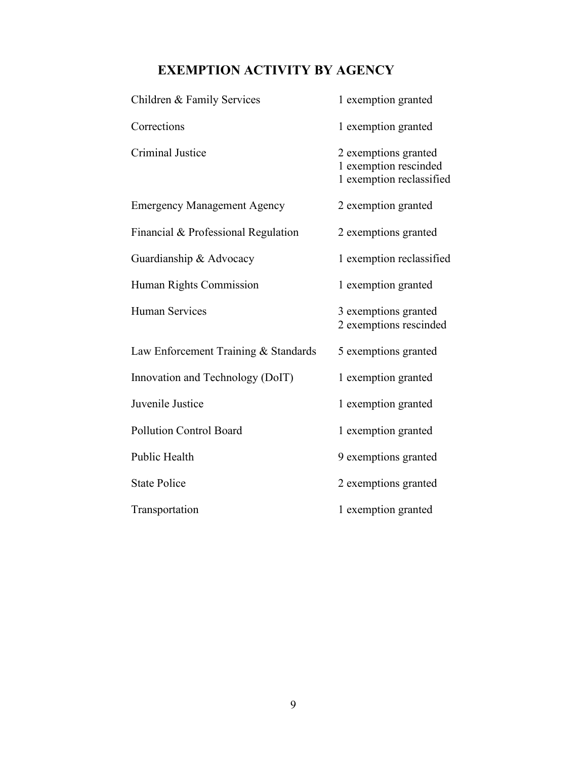# **EXEMPTION ACTIVITY BY AGENCY**

| Children & Family Services           | 1 exemption granted                                                       |
|--------------------------------------|---------------------------------------------------------------------------|
| Corrections                          | 1 exemption granted                                                       |
| <b>Criminal Justice</b>              | 2 exemptions granted<br>1 exemption rescinded<br>1 exemption reclassified |
| <b>Emergency Management Agency</b>   | 2 exemption granted                                                       |
| Financial & Professional Regulation  | 2 exemptions granted                                                      |
| Guardianship & Advocacy              | 1 exemption reclassified                                                  |
| Human Rights Commission              | 1 exemption granted                                                       |
| <b>Human Services</b>                | 3 exemptions granted<br>2 exemptions rescinded                            |
| Law Enforcement Training & Standards | 5 exemptions granted                                                      |
| Innovation and Technology (DoIT)     | 1 exemption granted                                                       |
| Juvenile Justice                     | 1 exemption granted                                                       |
| <b>Pollution Control Board</b>       | 1 exemption granted                                                       |
| Public Health                        | 9 exemptions granted                                                      |
| <b>State Police</b>                  | 2 exemptions granted                                                      |
| Transportation                       | 1 exemption granted                                                       |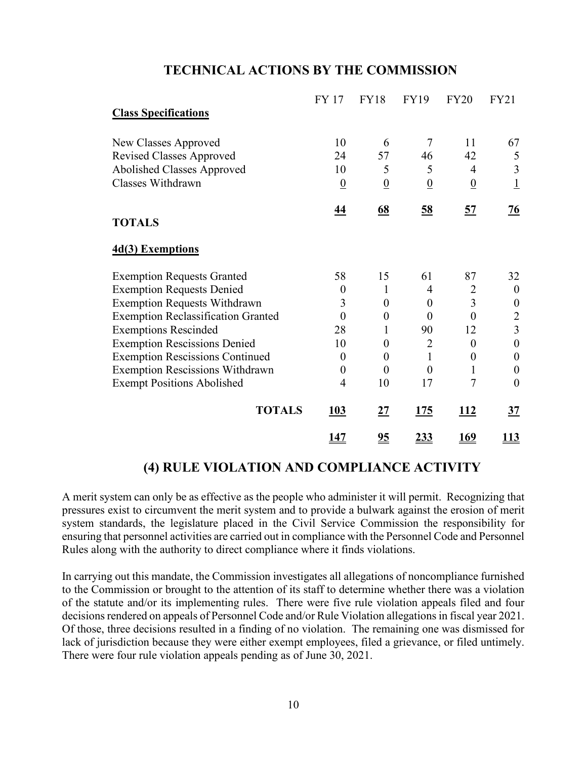#### **TECHNICAL ACTIONS BY THE COMMISSION**

| <b>Class Specifications</b>               | <b>FY 17</b>     | <b>FY18</b>      | <b>FY19</b>      | <b>FY20</b>      | <b>FY21</b>      |
|-------------------------------------------|------------------|------------------|------------------|------------------|------------------|
|                                           |                  |                  |                  |                  |                  |
| New Classes Approved                      | 10               | 6                | 7                | 11               | 67               |
| <b>Revised Classes Approved</b>           | 24               | 57               | 46               | 42               | 5                |
| Abolished Classes Approved                | 10               | 5                | 5                | $\overline{4}$   | 3                |
| Classes Withdrawn                         | $\overline{0}$   | $\underline{0}$  | $\overline{0}$   | $\overline{0}$   | $\overline{1}$   |
|                                           | <u>44</u>        | 68               | 58               | 57               | $\overline{26}$  |
| <b>TOTALS</b>                             |                  |                  |                  |                  |                  |
| 4d(3) Exemptions                          |                  |                  |                  |                  |                  |
| <b>Exemption Requests Granted</b>         | 58               | 15               | 61               | 87               | 32               |
| <b>Exemption Requests Denied</b>          | $\boldsymbol{0}$ | 1                | 4                | $\overline{2}$   | $\boldsymbol{0}$ |
| <b>Exemption Requests Withdrawn</b>       | 3                | $\boldsymbol{0}$ | $\boldsymbol{0}$ | $\overline{3}$   | $\boldsymbol{0}$ |
| <b>Exemption Reclassification Granted</b> | $\theta$         | $\boldsymbol{0}$ | $\theta$         | $\theta$         | $\overline{2}$   |
| <b>Exemptions Rescinded</b>               | 28               | 1                | 90               | 12               | 3                |
| <b>Exemption Rescissions Denied</b>       | 10               | $\theta$         | $\overline{2}$   | $\theta$         | $\boldsymbol{0}$ |
| <b>Exemption Rescissions Continued</b>    | $\boldsymbol{0}$ | $\boldsymbol{0}$ | $\mathbf{1}$     | $\boldsymbol{0}$ | $\boldsymbol{0}$ |
| <b>Exemption Rescissions Withdrawn</b>    | $\boldsymbol{0}$ | $\boldsymbol{0}$ | $\boldsymbol{0}$ | 1                | $\boldsymbol{0}$ |
| <b>Exempt Positions Abolished</b>         | $\overline{4}$   | 10               | 17               | $\overline{7}$   | $\overline{0}$   |
| <b>TOTALS</b>                             | 103              | 27               | <u>175</u>       | <u> 112</u>      | $\frac{37}{2}$   |
|                                           | <u> 147</u>      | $\underline{95}$ | <u>233</u>       | <u> 169</u>      | <u> 113</u>      |

#### **(4) RULE VIOLATION AND COMPLIANCE ACTIVITY**

A merit system can only be as effective as the people who administer it will permit. Recognizing that pressures exist to circumvent the merit system and to provide a bulwark against the erosion of merit system standards, the legislature placed in the Civil Service Commission the responsibility for ensuring that personnel activities are carried out in compliance with the Personnel Code and Personnel Rules along with the authority to direct compliance where it finds violations.

In carrying out this mandate, the Commission investigates all allegations of noncompliance furnished to the Commission or brought to the attention of its staff to determine whether there was a violation of the statute and/or its implementing rules. There were five rule violation appeals filed and four decisions rendered on appeals of Personnel Code and/or Rule Violation allegations in fiscal year 2021. Of those, three decisions resulted in a finding of no violation. The remaining one was dismissed for lack of jurisdiction because they were either exempt employees, filed a grievance, or filed untimely. There were four rule violation appeals pending as of June 30, 2021.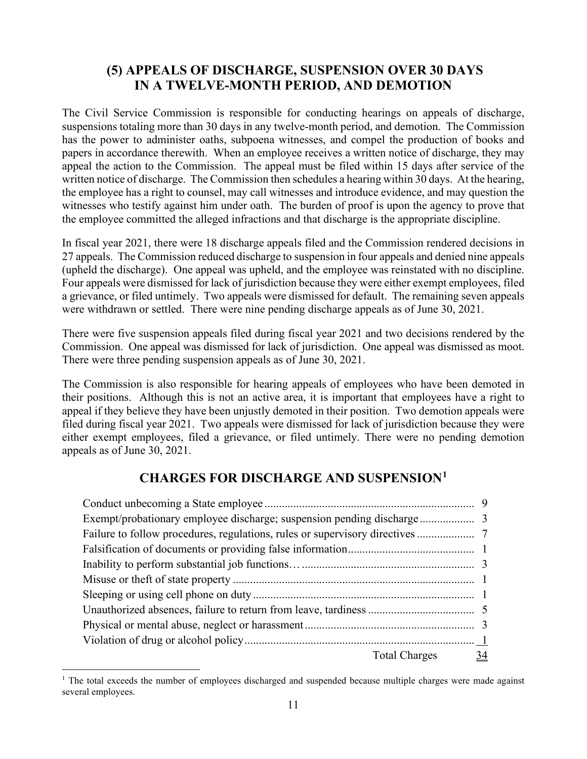# **(5) APPEALS OF DISCHARGE, SUSPENSION OVER 30 DAYS IN A TWELVE-MONTH PERIOD, AND DEMOTION**

The Civil Service Commission is responsible for conducting hearings on appeals of discharge, suspensions totaling more than 30 days in any twelve-month period, and demotion. The Commission has the power to administer oaths, subpoena witnesses, and compel the production of books and papers in accordance therewith. When an employee receives a written notice of discharge, they may appeal the action to the Commission. The appeal must be filed within 15 days after service of the written notice of discharge. The Commission then schedules a hearing within 30 days. At the hearing, the employee has a right to counsel, may call witnesses and introduce evidence, and may question the witnesses who testify against him under oath. The burden of proof is upon the agency to prove that the employee committed the alleged infractions and that discharge is the appropriate discipline.

In fiscal year 2021, there were 18 discharge appeals filed and the Commission rendered decisions in 27 appeals. The Commission reduced discharge to suspension in four appeals and denied nine appeals (upheld the discharge). One appeal was upheld, and the employee was reinstated with no discipline. Four appeals were dismissed for lack of jurisdiction because they were either exempt employees, filed a grievance, or filed untimely. Two appeals were dismissed for default. The remaining seven appeals were withdrawn or settled. There were nine pending discharge appeals as of June 30, 2021.

There were five suspension appeals filed during fiscal year 2021 and two decisions rendered by the Commission. One appeal was dismissed for lack of jurisdiction. One appeal was dismissed as moot. There were three pending suspension appeals as of June 30, 2021.

The Commission is also responsible for hearing appeals of employees who have been demoted in their positions. Although this is not an active area, it is important that employees have a right to appeal if they believe they have been unjustly demoted in their position. Two demotion appeals were filed during fiscal year 2021. Two appeals were dismissed for lack of jurisdiction because they were either exempt employees, filed a grievance, or filed untimely. There were no pending demotion appeals as of June 30, 2021.

# **CHARGES FOR DISCHARGE AND SUSPENSION[1](#page-10-0)**

| Failure to follow procedures, regulations, rules or supervisory directives |                  |  |
|----------------------------------------------------------------------------|------------------|--|
|                                                                            |                  |  |
|                                                                            |                  |  |
|                                                                            |                  |  |
|                                                                            |                  |  |
|                                                                            |                  |  |
|                                                                            |                  |  |
|                                                                            |                  |  |
|                                                                            | Total Charges 34 |  |

<span id="page-10-0"></span> $1$  The total exceeds the number of employees discharged and suspended because multiple charges were made against several employees.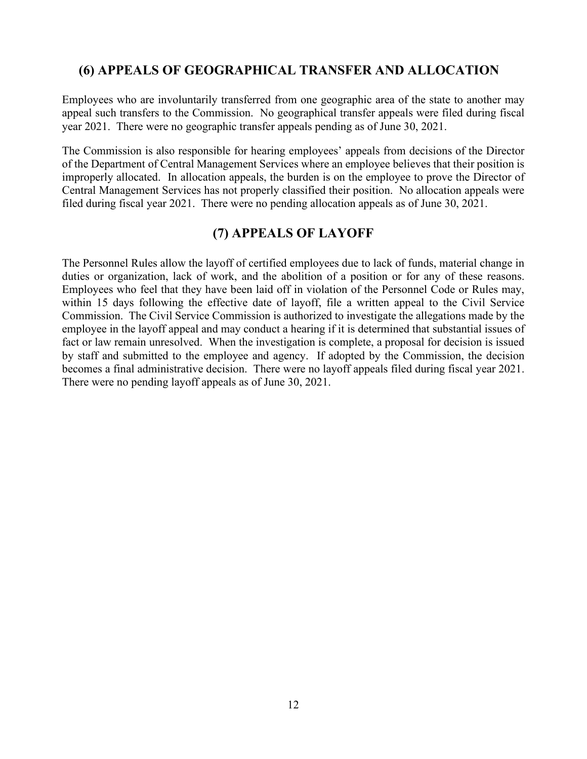# **(6) APPEALS OF GEOGRAPHICAL TRANSFER AND ALLOCATION**

Employees who are involuntarily transferred from one geographic area of the state to another may appeal such transfers to the Commission. No geographical transfer appeals were filed during fiscal year 2021. There were no geographic transfer appeals pending as of June 30, 2021.

The Commission is also responsible for hearing employees' appeals from decisions of the Director of the Department of Central Management Services where an employee believes that their position is improperly allocated. In allocation appeals, the burden is on the employee to prove the Director of Central Management Services has not properly classified their position. No allocation appeals were filed during fiscal year 2021. There were no pending allocation appeals as of June 30, 2021.

# **(7) APPEALS OF LAYOFF**

The Personnel Rules allow the layoff of certified employees due to lack of funds, material change in duties or organization, lack of work, and the abolition of a position or for any of these reasons. Employees who feel that they have been laid off in violation of the Personnel Code or Rules may, within 15 days following the effective date of layoff, file a written appeal to the Civil Service Commission. The Civil Service Commission is authorized to investigate the allegations made by the employee in the layoff appeal and may conduct a hearing if it is determined that substantial issues of fact or law remain unresolved. When the investigation is complete, a proposal for decision is issued by staff and submitted to the employee and agency. If adopted by the Commission, the decision becomes a final administrative decision. There were no layoff appeals filed during fiscal year 2021. There were no pending layoff appeals as of June 30, 2021.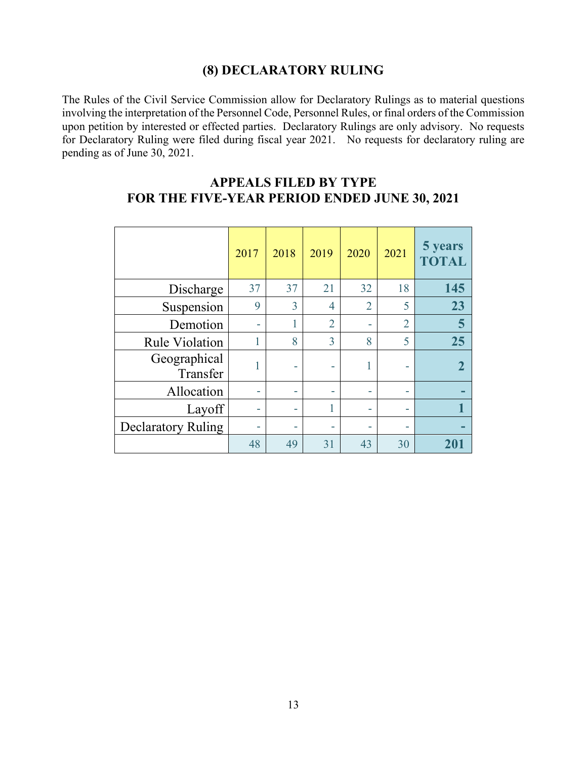# **(8) DECLARATORY RULING**

The Rules of the Civil Service Commission allow for Declaratory Rulings as to material questions involving the interpretation of the Personnel Code, Personnel Rules, or final orders of the Commission upon petition by interested or effected parties. Declaratory Rulings are only advisory. No requests for Declaratory Ruling were filed during fiscal year 2021. No requests for declaratory ruling are pending as of June 30, 2021.

|                           | 2017 | 2018 | 2019           | 2020           | 2021           | 5 years<br><b>TOTAL</b> |
|---------------------------|------|------|----------------|----------------|----------------|-------------------------|
| Discharge                 | 37   | 37   | 21             | 32             | 18             | 145                     |
| Suspension                | 9    | 3    | 4              | $\overline{2}$ | 5              | 23                      |
| Demotion                  |      |      | $\overline{2}$ | -              | $\overline{2}$ | 5                       |
| <b>Rule Violation</b>     |      | 8    | 3              | 8              | 5              | 25                      |
| Geographical<br>Transfer  |      |      |                |                |                | $\mathbf 2$             |
| Allocation                | ٠    |      | ۰              |                |                |                         |
| Layoff                    |      |      |                |                |                |                         |
| <b>Declaratory Ruling</b> | ٠    |      |                |                |                |                         |
|                           | 48   | 49   | 31             | 43             | 30             | 201                     |

# **APPEALS FILED BY TYPE FOR THE FIVE-YEAR PERIOD ENDED JUNE 30, 2021**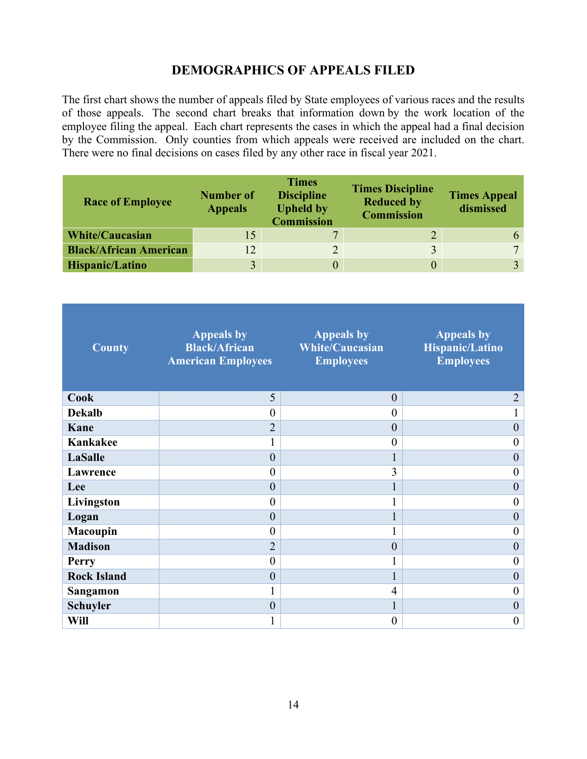# **DEMOGRAPHICS OF APPEALS FILED**

The first chart shows the number of appeals filed by State employees of various races and the results of those appeals. The second chart breaks that information down by the work location of the employee filing the appeal. Each chart represents the cases in which the appeal had a final decision by the Commission. Only counties from which appeals were received are included on the chart. There were no final decisions on cases filed by any other race in fiscal year 2021.

| <b>Race of Employee</b>       | <b>Number of</b><br><b>Appeals</b> | <b>Times</b><br><b>Discipline</b><br><b>Upheld by</b><br><b>Commission</b> | <b>Times Discipline</b><br><b>Reduced by</b><br><b>Commission</b> | <b>Times Appeal</b><br>dismissed |
|-------------------------------|------------------------------------|----------------------------------------------------------------------------|-------------------------------------------------------------------|----------------------------------|
| <b>White/Caucasian</b>        | 15                                 | 7                                                                          | $\overline{2}$                                                    |                                  |
| <b>Black/African American</b> | 12                                 |                                                                            |                                                                   | $\mathbf{r}$                     |
| Hispanic/Latino               | $\overline{3}$                     |                                                                            |                                                                   |                                  |

| <b>County</b>      | <b>Appeals by</b><br><b>Black/African</b><br><b>American Employees</b> | <b>Appeals by</b><br><b>White/Caucasian</b><br><b>Employees</b> | <b>Appeals by</b><br>Hispanic/Latino<br><b>Employees</b> |
|--------------------|------------------------------------------------------------------------|-----------------------------------------------------------------|----------------------------------------------------------|
| Cook               | 5                                                                      | $\overline{0}$                                                  | $\overline{2}$                                           |
| <b>Dekalb</b>      | $\boldsymbol{0}$                                                       | $\theta$                                                        |                                                          |
| Kane               | $\overline{2}$                                                         | $\overline{0}$                                                  | $\mathbf{0}$                                             |
| Kankakee           | T                                                                      | $\theta$                                                        | $\overline{0}$                                           |
| <b>LaSalle</b>     | $\boldsymbol{0}$                                                       |                                                                 | $\boldsymbol{0}$                                         |
| Lawrence           | $\boldsymbol{0}$                                                       | 3                                                               | $\boldsymbol{0}$                                         |
| Lee                | $\boldsymbol{0}$                                                       |                                                                 | $\boldsymbol{0}$                                         |
| Livingston         | $\boldsymbol{0}$                                                       |                                                                 | $\overline{0}$                                           |
| Logan              | $\boldsymbol{0}$                                                       |                                                                 | $\boldsymbol{0}$                                         |
| <b>Macoupin</b>    | $\boldsymbol{0}$                                                       |                                                                 | $\theta$                                                 |
| <b>Madison</b>     | $\overline{2}$                                                         | $\overline{0}$                                                  | $\mathbf{0}$                                             |
| <b>Perry</b>       | $\boldsymbol{0}$                                                       |                                                                 | $\boldsymbol{0}$                                         |
| <b>Rock Island</b> | $\boldsymbol{0}$                                                       |                                                                 | $\overline{0}$                                           |
| Sangamon           | $\mathbf{1}$                                                           | $\overline{4}$                                                  | $\boldsymbol{0}$                                         |
| <b>Schuyler</b>    | $\boldsymbol{0}$                                                       |                                                                 | $\mathbf{0}$                                             |
| Will               | 1                                                                      | $\theta$                                                        | $\boldsymbol{0}$                                         |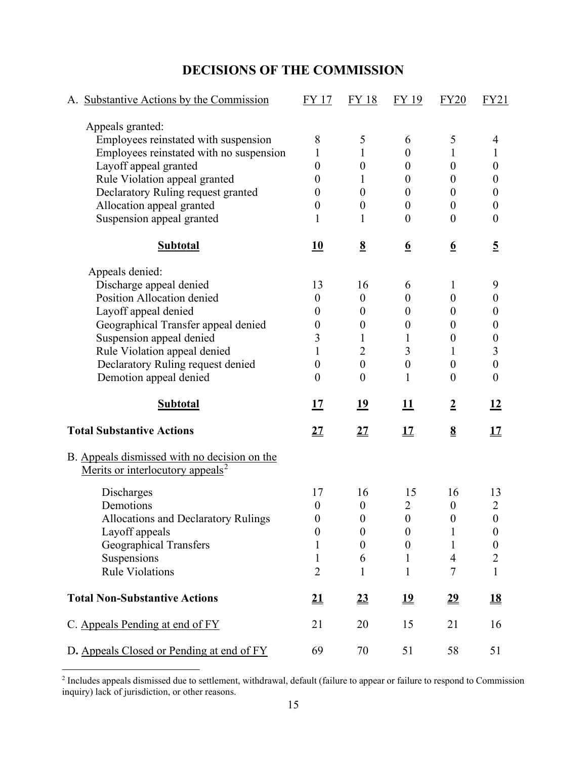|  |  | <b>DECISIONS OF THE COMMISSION</b> |
|--|--|------------------------------------|
|--|--|------------------------------------|

| A. Substantive Actions by the Commission                                                     | FY 17            | FY 18            | FY 19            | <b>FY20</b>      | FY21             |
|----------------------------------------------------------------------------------------------|------------------|------------------|------------------|------------------|------------------|
| Appeals granted:                                                                             |                  |                  |                  |                  |                  |
| Employees reinstated with suspension                                                         | 8                | 5                | 6                | 5                | 4                |
| Employees reinstated with no suspension                                                      | 1                | 1                | $\boldsymbol{0}$ | 1                | $\mathbf{1}$     |
| Layoff appeal granted                                                                        | $\boldsymbol{0}$ | $\boldsymbol{0}$ | $\theta$         | $\boldsymbol{0}$ | $\boldsymbol{0}$ |
| Rule Violation appeal granted                                                                | $\theta$         | 1                | $\theta$         | $\boldsymbol{0}$ | $\theta$         |
| Declaratory Ruling request granted                                                           | $\theta$         | $\boldsymbol{0}$ | $\boldsymbol{0}$ | $\theta$         | $\boldsymbol{0}$ |
| Allocation appeal granted                                                                    | $\boldsymbol{0}$ | $\boldsymbol{0}$ | $\overline{0}$   | $\boldsymbol{0}$ | $\boldsymbol{0}$ |
| Suspension appeal granted                                                                    | 1                | 1                | $\theta$         | $\overline{0}$   | $\boldsymbol{0}$ |
| <b>Subtotal</b>                                                                              | 10               | $\underline{8}$  | $\underline{6}$  | $\underline{6}$  | $\overline{5}$   |
| Appeals denied:                                                                              |                  |                  |                  |                  |                  |
| Discharge appeal denied                                                                      | 13               | 16               | 6                | 1                | 9                |
| Position Allocation denied                                                                   | $\boldsymbol{0}$ | $\boldsymbol{0}$ | $\theta$         | $\overline{0}$   | $\boldsymbol{0}$ |
| Layoff appeal denied                                                                         | $\theta$         | $\boldsymbol{0}$ | 0                | $\boldsymbol{0}$ | $\theta$         |
| Geographical Transfer appeal denied                                                          | $\theta$         | $\boldsymbol{0}$ | $\overline{0}$   | $\theta$         | $\boldsymbol{0}$ |
| Suspension appeal denied                                                                     | 3                | 1                | 1                | $\boldsymbol{0}$ | $\boldsymbol{0}$ |
| Rule Violation appeal denied                                                                 | 1                | $\overline{2}$   | 3                | 1                | 3                |
| Declaratory Ruling request denied                                                            | $\boldsymbol{0}$ | $\mathbf{0}$     | $\boldsymbol{0}$ | $\boldsymbol{0}$ | $\boldsymbol{0}$ |
| Demotion appeal denied                                                                       | $\boldsymbol{0}$ | $\boldsymbol{0}$ | 1                | $\boldsymbol{0}$ | $\boldsymbol{0}$ |
| <b>Subtotal</b>                                                                              | 17               | <u> 19</u>       | <b>11</b>        | $\overline{2}$   | 12               |
| <b>Total Substantive Actions</b>                                                             | <u>27</u>        | $\underline{27}$ | <u>17</u>        | $\underline{8}$  | <u> 17</u>       |
| B. Appeals dismissed with no decision on the<br>Merits or interlocutory appeals <sup>2</sup> |                  |                  |                  |                  |                  |
| Discharges                                                                                   | 17               | 16               | 15               | 16               | 13               |
| Demotions                                                                                    | $\boldsymbol{0}$ | $\boldsymbol{0}$ | $\overline{2}$   | $\boldsymbol{0}$ | $\overline{2}$   |
| Allocations and Declaratory Rulings                                                          | $\overline{0}$   | $\overline{0}$   | $\boldsymbol{0}$ | $\overline{0}$   | $\overline{0}$   |
| Layoff appeals                                                                               | $\boldsymbol{0}$ | $\boldsymbol{0}$ | $\boldsymbol{0}$ | 1                | $\boldsymbol{0}$ |
| Geographical Transfers                                                                       |                  | $\boldsymbol{0}$ | $\boldsymbol{0}$ | 1                | $\boldsymbol{0}$ |
| Suspensions                                                                                  | 1                | 6                | 1                | $\overline{4}$   | $\overline{2}$   |
| <b>Rule Violations</b>                                                                       | $\overline{2}$   | 1                | $\mathbf{1}$     | 7                | $\mathbf{1}$     |
| <b>Total Non-Substantive Actions</b>                                                         | $\underline{21}$ | 23               | 19               | $\underline{29}$ | <u>18</u>        |
| C. Appeals Pending at end of FY                                                              | 21               | 20               | 15               | 21               | 16               |
| D. Appeals Closed or Pending at end of FY                                                    | 69               | 70               | 51               | 58               | 51               |

<span id="page-14-0"></span> $<sup>2</sup>$  Includes appeals dismissed due to settlement, withdrawal, default (failure to appear or failure to respond to Commission</sup> inquiry) lack of jurisdiction, or other reasons.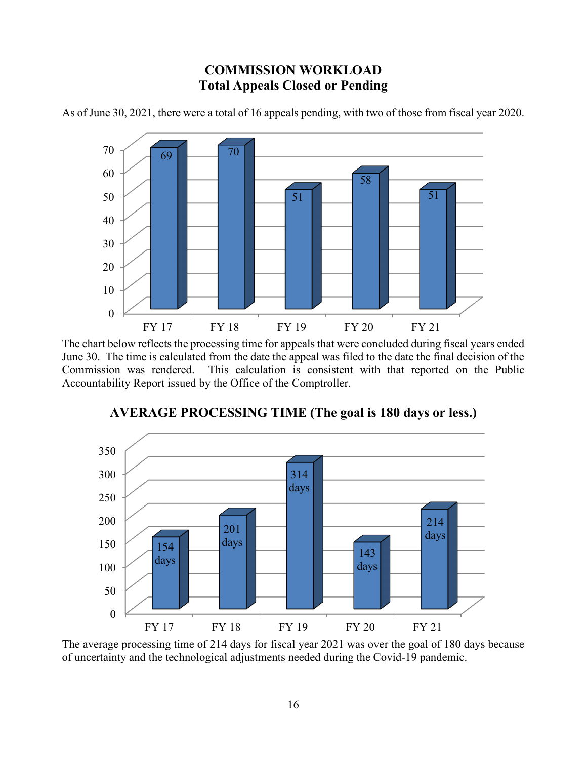# **COMMISSION WORKLOAD Total Appeals Closed or Pending**



As of June 30, 2021, there were a total of 16 appeals pending, with two of those from fiscal year 2020.

The chart below reflects the processing time for appeals that were concluded during fiscal years ended June 30. The time is calculated from the date the appeal was filed to the date the final decision of the Commission was rendered. This calculation is consistent with that reported on the Public Accountability Report issued by the Office of the Comptroller.



**AVERAGE PROCESSING TIME (The goal is 180 days or less.)**

The average processing time of 214 days for fiscal year 2021 was over the goal of 180 days because of uncertainty and the technological adjustments needed during the Covid-19 pandemic.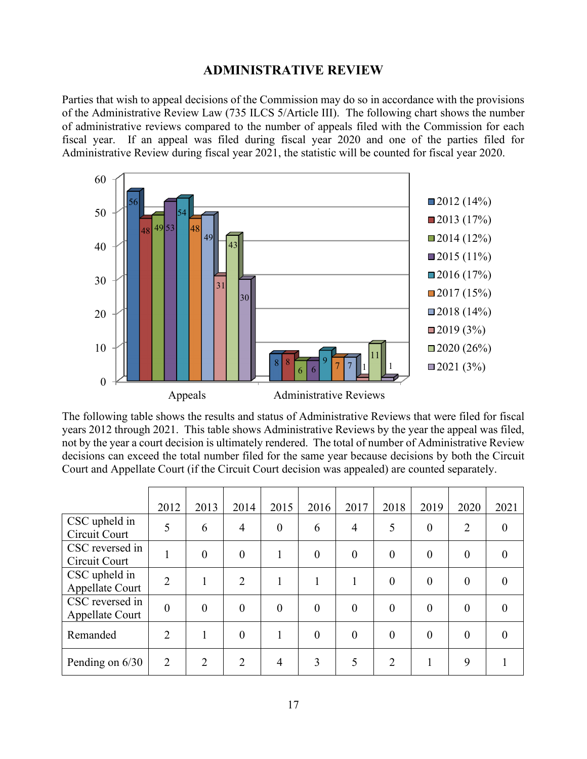#### **ADMINISTRATIVE REVIEW**

Parties that wish to appeal decisions of the Commission may do so in accordance with the provisions of the Administrative Review Law (735 ILCS 5/Article III). The following chart shows the number of administrative reviews compared to the number of appeals filed with the Commission for each fiscal year. If an appeal was filed during fiscal year 2020 and one of the parties filed for Administrative Review during fiscal year 2021, the statistic will be counted for fiscal year 2020.



The following table shows the results and status of Administrative Reviews that were filed for fiscal years 2012 through 2021. This table shows Administrative Reviews by the year the appeal was filed, not by the year a court decision is ultimately rendered. The total of number of Administrative Review decisions can exceed the total number filed for the same year because decisions by both the Circuit Court and Appellate Court (if the Circuit Court decision was appealed) are counted separately.

|                                    | 2012           | 2013           | 2014           | 2015           | 2016           | 2017           | 2018           | 2019     | 2020           | 2021     |
|------------------------------------|----------------|----------------|----------------|----------------|----------------|----------------|----------------|----------|----------------|----------|
| CSC upheld in<br>Circuit Court     | 5              | 6              | $\overline{4}$ | $\overline{0}$ | 6              | $\overline{4}$ | 5              | $\theta$ | $\overline{2}$ | $\theta$ |
| CSC reversed in<br>Circuit Court   |                | $\theta$       | $\overline{0}$ |                | $\overline{0}$ | $\theta$       | $\theta$       | $\theta$ | $\theta$       | $\Omega$ |
| CSC upheld in<br>Appellate Court   | $\overline{2}$ |                | $\overline{2}$ |                | 1              | 1              | $\theta$       | $\theta$ | $\theta$       | $\theta$ |
| CSC reversed in<br>Appellate Court | $\overline{0}$ | $\overline{0}$ | $\overline{0}$ | $\overline{0}$ | $\overline{0}$ | $\overline{0}$ | $\theta$       | $\theta$ | $\overline{0}$ | $\theta$ |
| Remanded                           | $\overline{2}$ |                | $\overline{0}$ |                | $\theta$       | $\theta$       | $\theta$       | $\theta$ | $\overline{0}$ | $\Omega$ |
| Pending on 6/30                    | 2              | $\overline{2}$ | $\overline{2}$ | 4              | 3              | 5              | $\overline{2}$ |          | 9              |          |